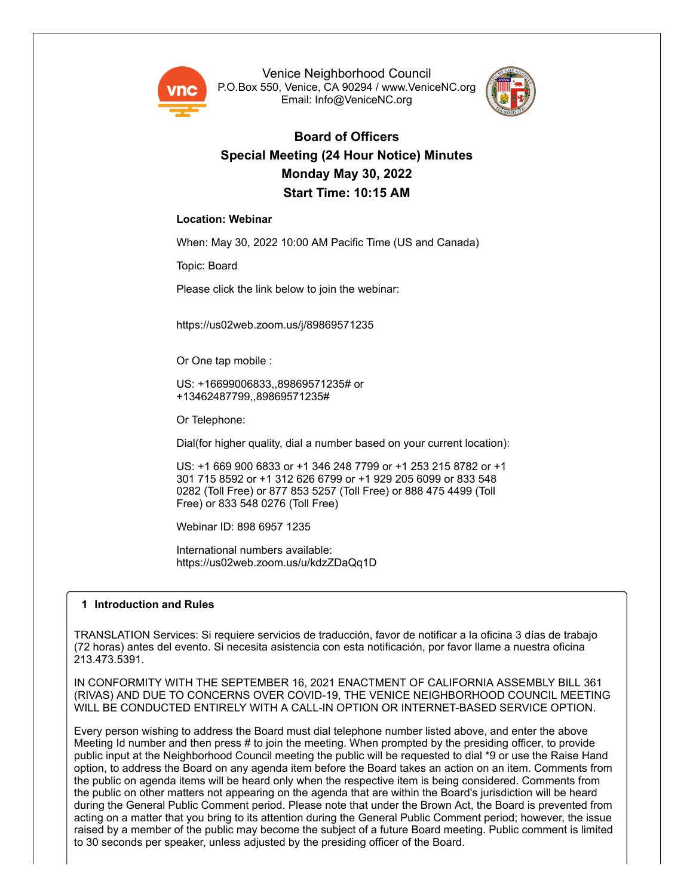

Venice Neighborhood Council P.O.Box 550, Venice, CA 90294 / www.VeniceNC.org Email: Info@VeniceNC.org



# **Board of Officers Special Meeting (24 Hour Notice) Minutes Monday May 30, 2022 Start Time: 10:15 AM**

## **Location: Webinar**

When: May 30, 2022 10:00 AM Pacific Time (US and Canada)

Topic: Board

Please click the link below to join the webinar:

https://us02web.zoom.us/j/89869571235

Or One tap mobile :

US: +16699006833,,89869571235# or +13462487799,,89869571235#

Or Telephone:

Dial(for higher quality, dial a number based on your current location):

US: +1 669 900 6833 or +1 346 248 7799 or +1 253 215 8782 or +1 301 715 8592 or +1 312 626 6799 or +1 929 205 6099 or 833 548 0282 (Toll Free) or 877 853 5257 (Toll Free) or 888 475 4499 (Toll Free) or 833 548 0276 (Toll Free)

Webinar ID: 898 6957 1235

International numbers available: https://us02web.zoom.us/u/kdzZDaQq1D

#### **1 Introduction and Rules**

TRANSLATION Services: Si requiere servicios de traducción, favor de notificar a la oficina 3 días de trabajo (72 horas) antes del evento. Si necesita asistencia con esta notificación, por favor llame a nuestra oficina 213.473.5391.

IN CONFORMITY WITH THE SEPTEMBER 16, 2021 ENACTMENT OF CALIFORNIA ASSEMBLY BILL 361 (RIVAS) AND DUE TO CONCERNS OVER COVID-19, THE VENICE NEIGHBORHOOD COUNCIL MEETING WILL BE CONDUCTED ENTIRELY WITH A CALL-IN OPTION OR INTERNET-BASED SERVICE OPTION.

Every person wishing to address the Board must dial telephone number listed above, and enter the above Meeting Id number and then press # to join the meeting. When prompted by the presiding officer, to provide public input at the Neighborhood Council meeting the public will be requested to dial \*9 or use the Raise Hand option, to address the Board on any agenda item before the Board takes an action on an item. Comments from the public on agenda items will be heard only when the respective item is being considered. Comments from the public on other matters not appearing on the agenda that are within the Board's jurisdiction will be heard during the General Public Comment period. Please note that under the Brown Act, the Board is prevented from acting on a matter that you bring to its attention during the General Public Comment period; however, the issue raised by a member of the public may become the subject of a future Board meeting. Public comment is limited to 30 seconds per speaker, unless adjusted by the presiding officer of the Board.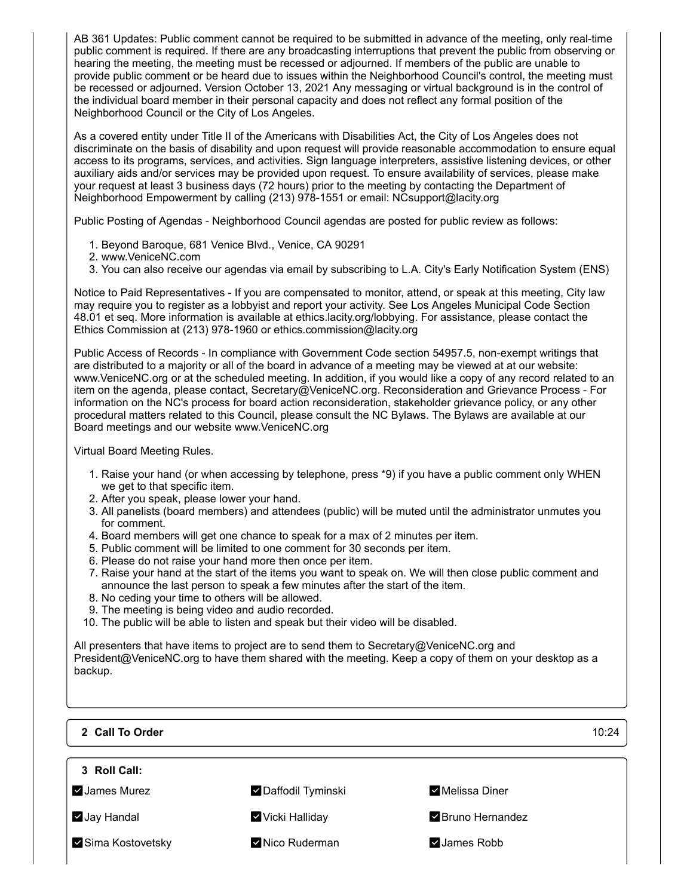AB 361 Updates: Public comment cannot be required to be submitted in advance of the meeting, only real-time public comment is required. If there are any broadcasting interruptions that prevent the public from observing or hearing the meeting, the meeting must be recessed or adjourned. If members of the public are unable to provide public comment or be heard due to issues within the Neighborhood Council's control, the meeting must be recessed or adjourned. Version October 13, 2021 Any messaging or virtual background is in the control of the individual board member in their personal capacity and does not reflect any formal position of the Neighborhood Council or the City of Los Angeles.

As a covered entity under Title II of the Americans with Disabilities Act, the City of Los Angeles does not discriminate on the basis of disability and upon request will provide reasonable accommodation to ensure equal access to its programs, services, and activities. Sign language interpreters, assistive listening devices, or other auxiliary aids and/or services may be provided upon request. To ensure availability of services, please make your request at least 3 business days (72 hours) prior to the meeting by contacting the Department of Neighborhood Empowerment by calling (213) 978-1551 or email: NCsupport@lacity.org

Public Posting of Agendas - Neighborhood Council agendas are posted for public review as follows:

- 1. Beyond Baroque, 681 Venice Blvd., Venice, CA 90291
- 2. www.VeniceNC.com
- 3. You can also receive our agendas via email by subscribing to L.A. City's Early Notification System (ENS)

Notice to Paid Representatives - If you are compensated to monitor, attend, or speak at this meeting, City law may require you to register as a lobbyist and report your activity. See Los Angeles Municipal Code Section 48.01 et seq. More information is available at ethics.lacity.org/lobbying. For assistance, please contact the Ethics Commission at (213) 978-1960 or ethics.commission@lacity.org

Public Access of Records - In compliance with Government Code section 54957.5, non-exempt writings that are distributed to a majority or all of the board in advance of a meeting may be viewed at at our website: www.VeniceNC.org or at the scheduled meeting. In addition, if you would like a copy of any record related to an item on the agenda, please contact, Secretary@VeniceNC.org. Reconsideration and Grievance Process - For information on the NC's process for board action reconsideration, stakeholder grievance policy, or any other procedural matters related to this Council, please consult the NC Bylaws. The Bylaws are available at our Board meetings and our website www.VeniceNC.org

Virtual Board Meeting Rules.

- 1. Raise your hand (or when accessing by telephone, press \*9) if you have a public comment only WHEN we get to that specific item.
- 2. After you speak, please lower your hand.
- 3. All panelists (board members) and attendees (public) will be muted until the administrator unmutes you for comment.
- 4. Board members will get one chance to speak for a max of 2 minutes per item.
- 5. Public comment will be limited to one comment for 30 seconds per item.
- 6. Please do not raise your hand more then once per item.
- 7. Raise your hand at the start of the items you want to speak on. We will then close public comment and announce the last person to speak a few minutes after the start of the item.
- 8. No ceding your time to others will be allowed.
- 9. The meeting is being video and audio recorded.
- 10. The public will be able to listen and speak but their video will be disabled.

All presenters that have items to project are to send them to Secretary@VeniceNC.org and President@VeniceNC.org to have them shared with the meeting. Keep a copy of them on your desktop as a backup.

**2 Call To Order** 10:24 **3 Roll Call:** v James Murez Daffodil Tyminski Melissa Diner **V** Jay Handal **Vicki Halliday** Bruno Hernandez **Sima Kostovetsky Nico Ruderman Marson School** Assembly Assembly Assembly Assembly Assembly Assembly Assembly Assemb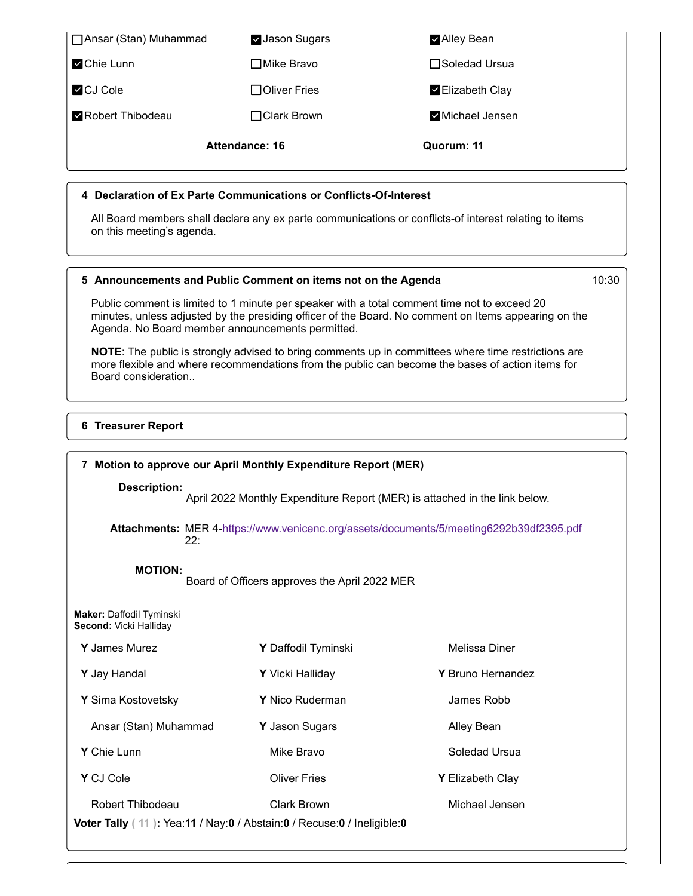□ Ansar (Stan) Muhammad **Jason Sugars** Alley Bean **Z** Chie Lunn **Mike Bravo** Soledad Ursua **Z** CJ Cole **Oliver Fries** Elizabeth Clay **Z** Robert Thibodeau **Clark Brown** Michael Jensen **Attendance: 16 Quorum: 11 4 Declaration of Ex Parte Communications or Conflicts-Of-Interest**

All Board members shall declare any ex parte communications or conflicts-of interest relating to items on this meeting's agenda.

#### **5 Announcements and Public Comment on items not on the Agenda** 10:30

Public comment is limited to 1 minute per speaker with a total comment time not to exceed 20 minutes, unless adjusted by the presiding officer of the Board. No comment on Items appearing on the Agenda. No Board member announcements permitted.

**NOTE**: The public is strongly advised to bring comments up in committees where time restrictions are more flexible and where recommendations from the public can become the bases of action items for Board consideration..

#### **6 Treasurer Report**

| 7 Motion to approve our April Monthly Expenditure Report (MER)                                    |                                               |                                                                                         |
|---------------------------------------------------------------------------------------------------|-----------------------------------------------|-----------------------------------------------------------------------------------------|
| <b>Description:</b>                                                                               |                                               | April 2022 Monthly Expenditure Report (MER) is attached in the link below.              |
| 22:                                                                                               |                                               | Attachments: MER 4-https://www.venicenc.org/assets/documents/5/meeting6292b39df2395.pdf |
| <b>MOTION:</b>                                                                                    | Board of Officers approves the April 2022 MER |                                                                                         |
| <b>Maker: Daffodil Tyminski</b><br>Second: Vicki Halliday                                         |                                               |                                                                                         |
| Y James Murez                                                                                     | Y Daffodil Tyminski                           | Melissa Diner                                                                           |
| Y Jay Handal                                                                                      | Y Vicki Halliday                              | Y Bruno Hernandez                                                                       |
| Y Sima Kostovetsky                                                                                | Y Nico Ruderman                               | James Robb                                                                              |
| Ansar (Stan) Muhammad                                                                             | Y Jason Sugars                                | Alley Bean                                                                              |
| Y Chie Lunn                                                                                       | Mike Bravo                                    | Soledad Ursua                                                                           |
| Y CJ Cole                                                                                         | <b>Oliver Fries</b>                           | Y Elizabeth Clay                                                                        |
| <b>Robert Thibodeau</b><br>Voter Tally (11): Yea:11 / Nay:0 / Abstain:0 / Recuse:0 / Ineligible:0 | <b>Clark Brown</b>                            | Michael Jensen                                                                          |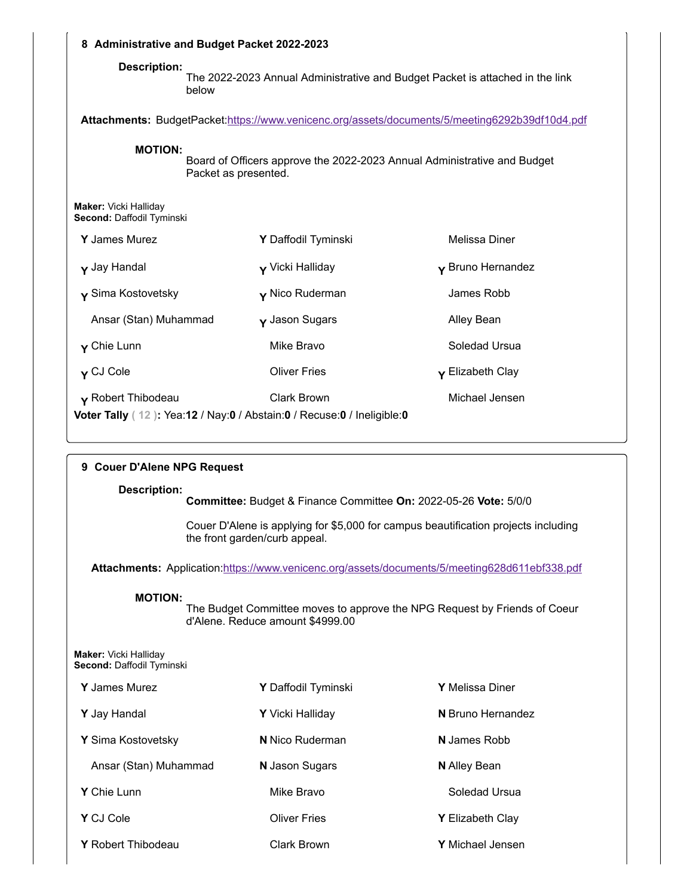| 8 Administrative and Budget Packet 2022-2023       |                      |                                                                                                |                             |
|----------------------------------------------------|----------------------|------------------------------------------------------------------------------------------------|-----------------------------|
| <b>Description:</b>                                | below                | The 2022-2023 Annual Administrative and Budget Packet is attached in the link                  |                             |
|                                                    |                      | Attachments: BudgetPacket:https://www.venicenc.org/assets/documents/5/meeting6292b39df10d4.pdf |                             |
| <b>MOTION:</b>                                     | Packet as presented. | Board of Officers approve the 2022-2023 Annual Administrative and Budget                       |                             |
| Maker: Vicki Halliday<br>Second: Daffodil Tyminski |                      |                                                                                                |                             |
| <b>Y</b> James Murez                               |                      | Y Daffodil Tyminski                                                                            | Melissa Diner               |
| y Jay Handal                                       |                      | $\mathsf{v}$ Vicki Halliday                                                                    | Y Bruno Hernandez           |
| $\mathbf y$ Sima Kostovetsky                       |                      | $\mathsf{y}$ Nico Ruderman                                                                     | James Robb                  |
| Ansar (Stan) Muhammad                              |                      | $\mathbf y$ Jason Sugars                                                                       | Alley Bean                  |
| $\mathbf y$ Chie Lunn                              |                      | Mike Bravo                                                                                     | Soledad Ursua               |
| y CJ Cole                                          |                      | <b>Oliver Fries</b>                                                                            | $\mathsf{y}$ Elizabeth Clay |
| Y Robert Thibodeau                                 |                      | <b>Clark Brown</b><br>Voter Tally (12): Yea:12 / Nay:0 / Abstain:0 / Recuse:0 / Ineligible:0   | Michael Jensen              |

| <b>Couer D'Alene NPG Request</b><br>9              |                                                                  |                                                                                               |
|----------------------------------------------------|------------------------------------------------------------------|-----------------------------------------------------------------------------------------------|
| <b>Description:</b>                                | Committee: Budget & Finance Committee On: 2022-05-26 Vote: 5/0/0 |                                                                                               |
|                                                    | the front garden/curb appeal.                                    | Couer D'Alene is applying for \$5,000 for campus beautification projects including            |
|                                                    |                                                                  | Attachments: Application:https://www.venicenc.org/assets/documents/5/meeting628d611ebf338.pdf |
| <b>MOTION:</b>                                     | d'Alene. Reduce amount \$4999.00                                 | The Budget Committee moves to approve the NPG Request by Friends of Coeur                     |
| Maker: Vicki Halliday<br>Second: Daffodil Tyminski |                                                                  |                                                                                               |
| Y James Murez                                      | Y Daffodil Tyminski                                              | Y Melissa Diner                                                                               |
| Y Jay Handal                                       | Y Vicki Halliday                                                 | N Bruno Hernandez                                                                             |
| Y Sima Kostovetsky                                 | <b>N</b> Nico Ruderman                                           | N James Robb                                                                                  |
| Ansar (Stan) Muhammad                              | N Jason Sugars                                                   | <b>N</b> Alley Bean                                                                           |
| Y Chie Lunn                                        | Mike Bravo                                                       | Soledad Ursua                                                                                 |
| Y CJ Cole                                          | <b>Oliver Fries</b>                                              | <b>Y</b> Elizabeth Clay                                                                       |
| Y Robert Thibodeau                                 | <b>Clark Brown</b>                                               | <b>Y</b> Michael Jensen                                                                       |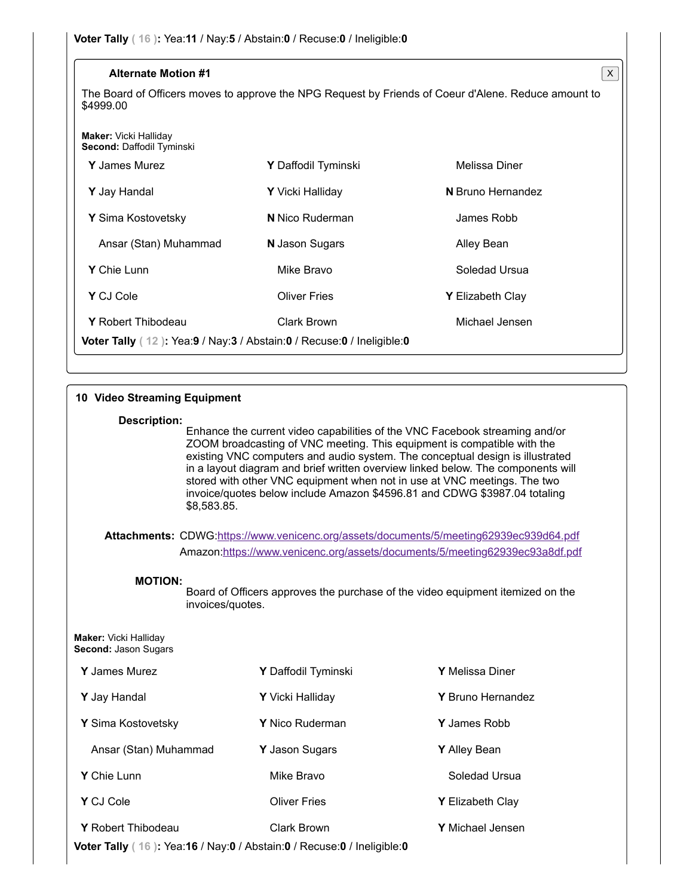| <b>Alternate Motion #1</b>                                                       |                            | X                                                                                                    |
|----------------------------------------------------------------------------------|----------------------------|------------------------------------------------------------------------------------------------------|
| \$4999.00                                                                        |                            | The Board of Officers moves to approve the NPG Request by Friends of Coeur d'Alene. Reduce amount to |
| <b>Maker:</b> Vicki Halliday<br>Second: Daffodil Tyminski                        |                            |                                                                                                      |
| <b>Y</b> James Murez                                                             | <b>Y</b> Daffodil Tyminski | Melissa Diner                                                                                        |
| Y Jay Handal                                                                     | Y Vicki Halliday           | N Bruno Hernandez                                                                                    |
| Y Sima Kostovetsky                                                               | <b>N</b> Nico Ruderman     | James Robb                                                                                           |
| Ansar (Stan) Muhammad                                                            | <b>N</b> Jason Sugars      | Alley Bean                                                                                           |
| Y Chie Lunn                                                                      | Mike Bravo                 | Soledad Ursua                                                                                        |
| Y CJ Cole                                                                        | <b>Oliver Fries</b>        | <b>Y</b> Elizabeth Clay                                                                              |
| <b>Y</b> Robert Thibodeau                                                        | Clark Brown                | Michael Jensen                                                                                       |
| <b>Voter Tally</b> ( $12$ ): Yea:9 / Nay:3 / Abstain:0 / Recuse:0 / Ineligible:0 |                            |                                                                                                      |

| 10 Video Streaming Equipment                                                                 |                                                                                                                                                                                                                                                                                                                                                                                                                                                                                      |                   |
|----------------------------------------------------------------------------------------------|--------------------------------------------------------------------------------------------------------------------------------------------------------------------------------------------------------------------------------------------------------------------------------------------------------------------------------------------------------------------------------------------------------------------------------------------------------------------------------------|-------------------|
| <b>Description:</b><br>\$8,583.85.                                                           | Enhance the current video capabilities of the VNC Facebook streaming and/or<br>ZOOM broadcasting of VNC meeting. This equipment is compatible with the<br>existing VNC computers and audio system. The conceptual design is illustrated<br>in a layout diagram and brief written overview linked below. The components will<br>stored with other VNC equipment when not in use at VNC meetings. The two<br>invoice/quotes below include Amazon \$4596.81 and CDWG \$3987.04 totaling |                   |
|                                                                                              | Attachments: CDWG:https://www.venicenc.org/assets/documents/5/meeting62939ec939d64.pdf                                                                                                                                                                                                                                                                                                                                                                                               |                   |
|                                                                                              | Amazon:https://www.venicenc.org/assets/documents/5/meeting62939ec93a8df.pdf                                                                                                                                                                                                                                                                                                                                                                                                          |                   |
| <b>MOTION:</b><br>invoices/quotes.                                                           | Board of Officers approves the purchase of the video equipment itemized on the                                                                                                                                                                                                                                                                                                                                                                                                       |                   |
| Maker: Vicki Halliday<br>Second: Jason Sugars                                                |                                                                                                                                                                                                                                                                                                                                                                                                                                                                                      |                   |
| Y James Murez                                                                                | Y Daffodil Tyminski                                                                                                                                                                                                                                                                                                                                                                                                                                                                  | Y Melissa Diner   |
| Y Jay Handal                                                                                 | Y Vicki Halliday                                                                                                                                                                                                                                                                                                                                                                                                                                                                     | Y Bruno Hernandez |
| Y Sima Kostovetsky                                                                           | Y Nico Ruderman                                                                                                                                                                                                                                                                                                                                                                                                                                                                      | Y James Robb      |
| Ansar (Stan) Muhammad                                                                        | Y Jason Sugars                                                                                                                                                                                                                                                                                                                                                                                                                                                                       | Y Alley Bean      |
| Y Chie Lunn                                                                                  | Mike Bravo                                                                                                                                                                                                                                                                                                                                                                                                                                                                           | Soledad Ursua     |
| Y CJ Cole                                                                                    | <b>Oliver Fries</b>                                                                                                                                                                                                                                                                                                                                                                                                                                                                  | Y Elizabeth Clay  |
| Y Robert Thibodeau<br>Voter Tally (16): Yea:16 / Nay:0 / Abstain:0 / Recuse:0 / Ineligible:0 | <b>Clark Brown</b>                                                                                                                                                                                                                                                                                                                                                                                                                                                                   | Y Michael Jensen  |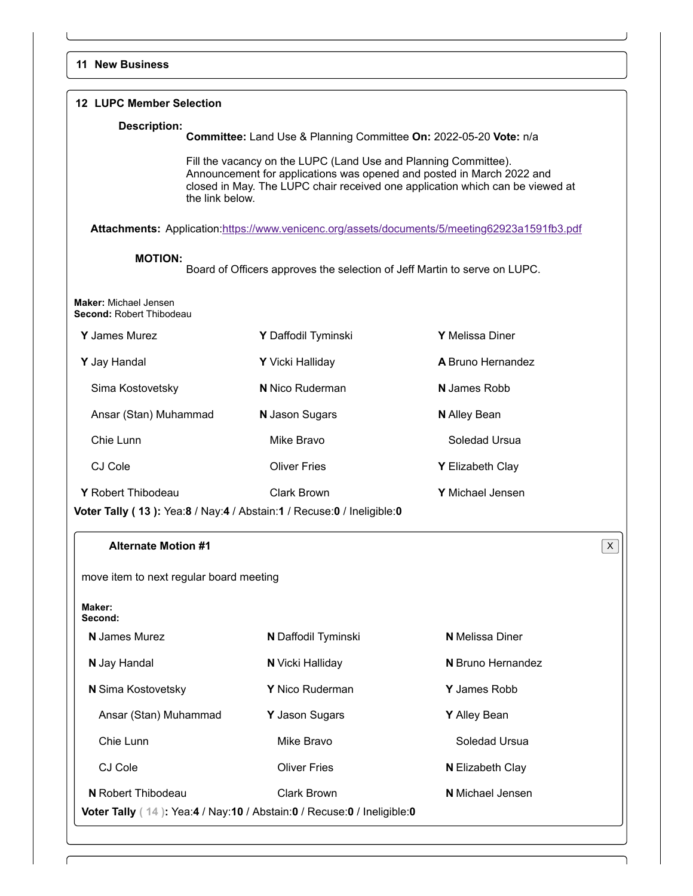| <b>12 LUPC Member Selection</b>                   |                                                                                                                                          |                                                                                               |   |
|---------------------------------------------------|------------------------------------------------------------------------------------------------------------------------------------------|-----------------------------------------------------------------------------------------------|---|
| <b>Description:</b>                               | Committee: Land Use & Planning Committee On: 2022-05-20 Vote: n/a                                                                        |                                                                                               |   |
| the link below.                                   | Fill the vacancy on the LUPC (Land Use and Planning Committee).<br>Announcement for applications was opened and posted in March 2022 and | closed in May. The LUPC chair received one application which can be viewed at                 |   |
|                                                   |                                                                                                                                          | Attachments: Application:https://www.venicenc.org/assets/documents/5/meeting62923a1591fb3.pdf |   |
| <b>MOTION:</b>                                    | Board of Officers approves the selection of Jeff Martin to serve on LUPC.                                                                |                                                                                               |   |
| Maker: Michael Jensen<br>Second: Robert Thibodeau |                                                                                                                                          |                                                                                               |   |
| Y James Murez                                     | Y Daffodil Tyminski                                                                                                                      | Y Melissa Diner                                                                               |   |
| Y Jay Handal                                      | Y Vicki Halliday                                                                                                                         | A Bruno Hernandez                                                                             |   |
| Sima Kostovetsky                                  | <b>N</b> Nico Ruderman                                                                                                                   | <b>N</b> James Robb                                                                           |   |
| Ansar (Stan) Muhammad                             | N Jason Sugars                                                                                                                           | <b>N</b> Alley Bean                                                                           |   |
| Chie Lunn                                         | Mike Bravo                                                                                                                               | Soledad Ursua                                                                                 |   |
| CJ Cole                                           | <b>Oliver Fries</b>                                                                                                                      | Y Elizabeth Clay                                                                              |   |
| Y Robert Thibodeau                                | <b>Clark Brown</b><br>Voter Tally (13): Yea:8 / Nay:4 / Abstain:1 / Recuse:0 / Ineligible:0                                              | Y Michael Jensen                                                                              |   |
| <b>Alternate Motion #1</b>                        |                                                                                                                                          |                                                                                               | X |
| move item to next regular board meeting           |                                                                                                                                          |                                                                                               |   |
| Maker:<br>Second:                                 |                                                                                                                                          |                                                                                               |   |
| <b>N</b> James Murez                              | N Daffodil Tyminski                                                                                                                      | <b>N</b> Melissa Diner                                                                        |   |
| N Jay Handal                                      | N Vicki Halliday                                                                                                                         | N Bruno Hernandez                                                                             |   |
| N Sima Kostovetsky                                | Y Nico Ruderman                                                                                                                          | Y James Robb                                                                                  |   |
| Ansar (Stan) Muhammad                             | Y Jason Sugars                                                                                                                           | Y Alley Bean                                                                                  |   |
| Chie Lunn                                         | Mike Bravo                                                                                                                               | Soledad Ursua                                                                                 |   |
| CJ Cole                                           | <b>Oliver Fries</b>                                                                                                                      | <b>N</b> Elizabeth Clay                                                                       |   |
| <b>N</b> Robert Thibodeau                         | <b>Clark Brown</b>                                                                                                                       | <b>N</b> Michael Jensen                                                                       |   |